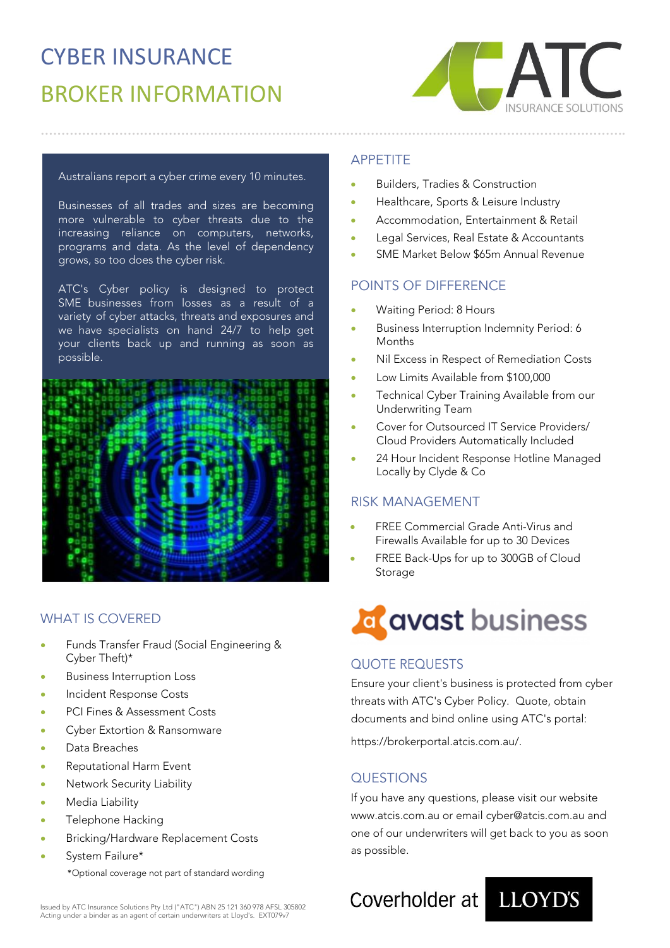## CYBER INSURANCE BROKER INFORMATION



Australians report a cyber crime every 10 minutes.

Businesses of all trades and sizes are becoming more vulnerable to cyber threats due to the increasing reliance on computers, networks, programs and data. As the level of dependency grows, so too does the cyber risk.

ATC's Cyber policy is designed to protect SME businesses from losses as a result of a variety of cyber attacks, threats and exposures and we have specialists on hand 24/7 to help get your clients back up and running as soon as possible.



#### WHAT IS COVERED

- Funds Transfer Fraud (Social Engineering & Cyber Theft)\*
- Business Interruption Loss
- Incident Response Costs
- PCI Fines & Assessment Costs
- Cyber Extortion & Ransomware
- Data Breaches
- Reputational Harm Event
- Network Security Liability
- Media Liability
- Telephone Hacking
- Bricking/Hardware Replacement Costs
- System Failure\*
	- \*Optional coverage not part of standard wording

#### APPETITE

**…………………………………………………………………………………………………………………………….**

- Builders, Tradies & Construction
- Healthcare, Sports & Leisure Industry
- Accommodation, Entertainment & Retail
- Legal Services, Real Estate & Accountants
- SME Market Below \$65m Annual Revenue

#### POINTS OF DIFFERENCE

- Waiting Period: 8 Hours
- Business Interruption Indemnity Period: 6 Months
- Nil Excess in Respect of Remediation Costs
- Low Limits Available from \$100,000
- Technical Cyber Training Available from our Underwriting Team
- Cover for Outsourced IT Service Providers/ Cloud Providers Automatically Included
- 24 Hour Incident Response Hotline Managed Locally by Clyde & Co

#### RISK MANAGEMENT

- FREE Commercial Grade Anti-Virus and Firewalls Available for up to 30 Devices
- FREE Back-Ups for up to 300GB of Cloud Storage

# **d'avast business**

#### QUOTE REQUESTS

Ensure your client's business is protected from cyber threats with ATC's Cyber Policy. Quote, obtain [documents and bin](https://brokerportal.atcis.com.au/)d online using ATC's portal:

<https://brokerportal.atcis.com.au/>[.](mailto:cyber@atcis.com.au) 

#### **QUESTIONS**

If you have any questions, please visit our website [www.atcis.com.au](https://www.atcis.com.au/) or email [cyber@atcis.com.au](mailto:cyber@atcis.com.au) and [one of our underwri](mailto:cyber@atcis.com.au)ters will get back to you as soon as possible.

### Coverholder at LLOYD'S